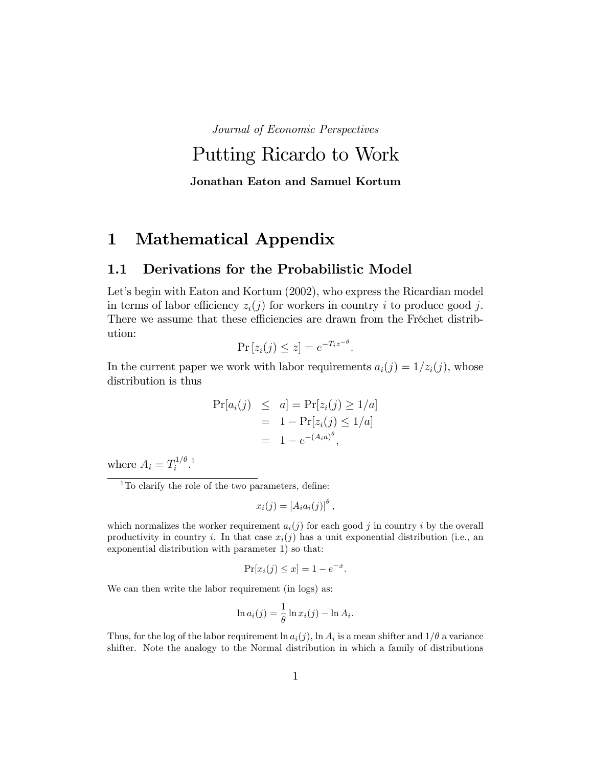Journal of Economic Perspectives

# Putting Ricardo to Work Jonathan Eaton and Samuel Kortum

1 Mathematical Appendix

### 1.1 Derivations for the Probabilistic Model

Let's begin with Eaton and Kortum (2002), who express the Ricardian model in terms of labor efficiency  $z_i(j)$  for workers in country i to produce good j. There we assume that these efficiencies are drawn from the Fréchet distribution:

$$
\Pr\left[z_i(j)\leq z\right] = e^{-T_iz^{-\theta}}.
$$

In the current paper we work with labor requirements  $a_i(j) = 1/z_i(j)$ , whose distribution is thus

$$
Pr[a_i(j) \leq a] = Pr[z_i(j) \geq 1/a]
$$
  
= 1 - Pr[z\_i(j) \leq 1/a]  
= 1 - e^{-(A\_i a)^{\theta}},

where  $A_i = T_i^{1/\theta}$  $i^{1/\theta}$ .<sup>1</sup>

 $1$ To clarify the role of the two parameters, define:

$$
x_i(j) = \left[A_i a_i(j)\right]^{\theta},
$$

which normalizes the worker requirement  $a_i(j)$  for each good j in country i by the overall productivity in country i. In that case  $x_i(j)$  has a unit exponential distribution (i.e., an exponential distribution with parameter 1) so that:

$$
\Pr[x_i(j) \le x] = 1 - e^{-x}.
$$

We can then write the labor requirement (in logs) as:

$$
\ln a_i(j) = \frac{1}{\theta} \ln x_i(j) - \ln A_i.
$$

Thus, for the log of the labor requirement  $\ln a_i(j)$ ,  $\ln A_i$  is a mean shifter and  $1/\theta$  a variance shifter. Note the analogy to the Normal distribution in which a family of distributions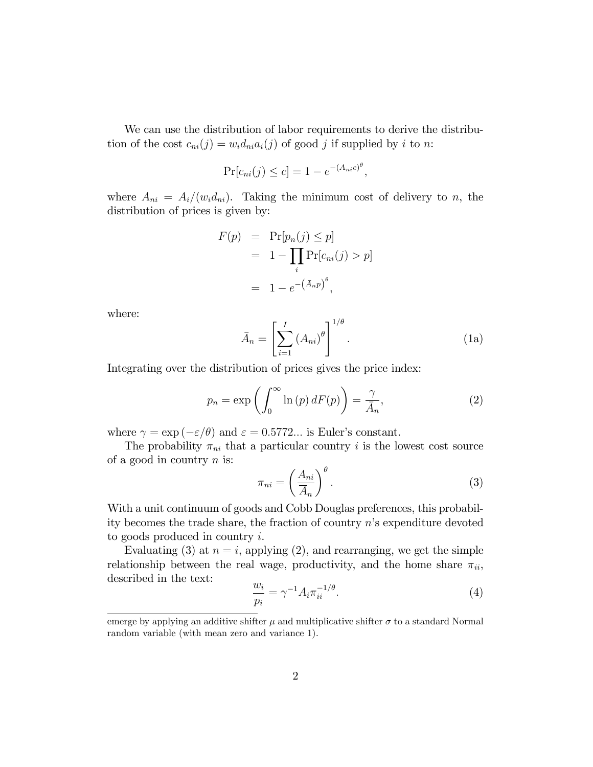We can use the distribution of labor requirements to derive the distribution of the cost  $c_{ni}(j) = w_i d_{ni} a_i(j)$  of good j if supplied by i to n:

$$
\Pr[c_{ni}(j) \le c] = 1 - e^{-(A_{ni}c)^{\theta}},
$$

where  $A_{ni} = A_i/(w_i d_{ni})$ . Taking the minimum cost of delivery to n, the distribution of prices is given by:

$$
F(p) = \Pr[p_n(j) \le p]
$$
  
= 1 - 
$$
\prod_i \Pr[c_{ni}(j) > p]
$$
  
= 1 - e<sup>-</sup>( $\bar{A}_{nP}$ ) <sup>$\theta$</sup> ,

where:

$$
\bar{A}_n = \left[ \sum_{i=1}^I \left( A_{ni} \right)^{\theta} \right]^{1/\theta} . \tag{1a}
$$

Integrating over the distribution of prices gives the price index:

$$
p_n = \exp\left(\int_0^\infty \ln(p) dF(p)\right) = \frac{\gamma}{\bar{A}_n},\tag{2}
$$

where  $\gamma = \exp(-\varepsilon/\theta)$  and  $\varepsilon = 0.5772...$  is Euler's constant.

The probability  $\pi_{ni}$  that a particular country i is the lowest cost source of a good in country  $n$  is:

$$
\pi_{ni} = \left(\frac{A_{ni}}{\overline{A}_n}\right)^{\theta}.
$$
\n(3)

With a unit continuum of goods and Cobb Douglas preferences, this probability becomes the trade share, the fraction of country  $n$ 's expenditure devoted to goods produced in country i.

Evaluating (3) at  $n = i$ , applying (2), and rearranging, we get the simple relationship between the real wage, productivity, and the home share  $\pi_{ii}$ , described in the text:

$$
\frac{w_i}{p_i} = \gamma^{-1} A_i \pi_{ii}^{-1/\theta}.
$$
\n
$$
(4)
$$

emerge by applying an additive shifter  $\mu$  and multiplicative shifter  $\sigma$  to a standard Normal random variable (with mean zero and variance 1).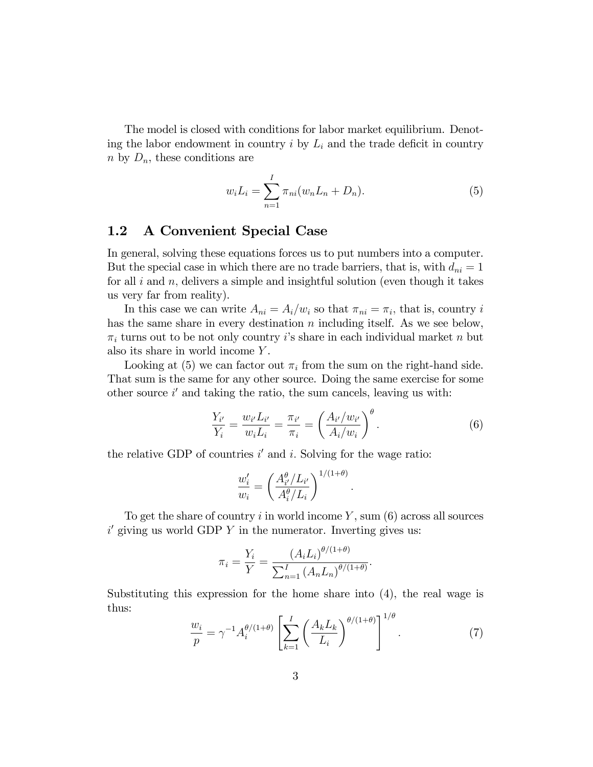The model is closed with conditions for labor market equilibrium. Denoting the labor endowment in country  $i$  by  $L_i$  and the trade deficit in country  $n$  by  $D_n$ , these conditions are

$$
w_i L_i = \sum_{n=1}^{I} \pi_{ni} (w_n L_n + D_n).
$$
 (5)

## 1.2 A Convenient Special Case

In general, solving these equations forces us to put numbers into a computer. But the special case in which there are no trade barriers, that is, with  $d_{ni} = 1$ for all  $i$  and  $n$ , delivers a simple and insightful solution (even though it takes us very far from reality).

In this case we can write  $A_{ni} = A_i/w_i$  so that  $\pi_{ni} = \pi_i$ , that is, country i has the same share in every destination n including itself. As we see below,  $\pi_i$  turns out to be not only country *i*'s share in each individual market n but also its share in world income Y .

Looking at (5) we can factor out  $\pi_i$  from the sum on the right-hand side. That sum is the same for any other source. Doing the same exercise for some other source  $i'$  and taking the ratio, the sum cancels, leaving us with:

$$
\frac{Y_{i'}}{Y_i} = \frac{w_{i'} L_{i'}}{w_i L_i} = \frac{\pi_{i'}}{\pi_i} = \left(\frac{A_{i'}/w_{i'}}{A_i/w_i}\right)^{\theta}.
$$
\n(6)

:

the relative GDP of countries  $i'$  and  $i$ . Solving for the wage ratio:

$$
\frac{w_i'}{w_i} = \left(\frac{A_{i'}^\theta / L_{i'}}{A_i^\theta / L_i}\right)^{1/(1+\theta)}
$$

To get the share of country  $i$  in world income  $Y$ , sum (6) across all sources  $i'$  giving us world GDP Y in the numerator. Inverting gives us:

$$
\pi_i = \frac{Y_i}{Y} = \frac{\left(A_i L_i\right)^{\theta/(1+\theta)}}{\sum_{n=1}^I \left(A_n L_n\right)^{\theta/(1+\theta)}}.
$$

Substituting this expression for the home share into (4), the real wage is thus:  $1/9$ 

$$
\frac{w_i}{p} = \gamma^{-1} A_i^{\theta/(1+\theta)} \left[ \sum_{k=1}^I \left( \frac{A_k L_k}{L_i} \right)^{\theta/(1+\theta)} \right]^{1/\theta} . \tag{7}
$$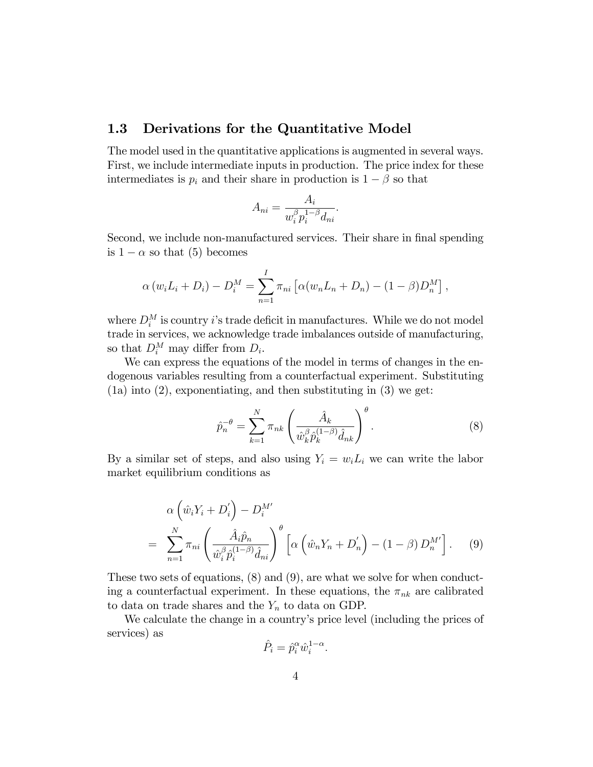### 1.3 Derivations for the Quantitative Model

The model used in the quantitative applications is augmented in several ways. First, we include intermediate inputs in production. The price index for these intermediates is  $p_i$  and their share in production is  $1 - \beta$  so that

$$
A_{ni} = \frac{A_i}{w_i^{\beta} p_i^{1-\beta} d_{ni}}.
$$

Second, we include non-manufactured services. Their share in final spending is  $1 - \alpha$  so that (5) becomes

$$
\alpha (w_i L_i + D_i) - D_i^M = \sum_{n=1}^I \pi_{ni} [\alpha (w_n L_n + D_n) - (1 - \beta) D_n^M],
$$

where  $D_i^M$  is country *i*'s trade deficit in manufactures. While we do not model trade in services, we acknowledge trade imbalances outside of manufacturing, so that  $D_i^M$  may differ from  $D_i$ .

We can express the equations of the model in terms of changes in the endogenous variables resulting from a counterfactual experiment. Substituting (1a) into (2), exponentiating, and then substituting in (3) we get:

$$
\hat{p}_n^{-\theta} = \sum_{k=1}^N \pi_{nk} \left( \frac{\hat{A}_k}{\hat{w}_k^{\beta} \hat{p}_k^{(1-\beta)} \hat{d}_{nk}} \right)^{\theta}.
$$
\n(8)

By a similar set of steps, and also using  $Y_i = w_i L_i$  we can write the labor market equilibrium conditions as

$$
\alpha \left( \hat{w}_i Y_i + D'_i \right) - D_i^{M'} \n= \sum_{n=1}^N \pi_{ni} \left( \frac{\hat{A}_i \hat{p}_n}{\hat{w}_i^{\beta} \hat{p}_i^{(1-\beta)} \hat{d}_{ni}} \right)^{\theta} \left[ \alpha \left( \hat{w}_n Y_n + D'_n \right) - (1-\beta) D_n^{M'} \right].
$$
\n(9)

These two sets of equations, (8) and (9), are what we solve for when conducting a counterfactual experiment. In these equations, the  $\pi_{nk}$  are calibrated to data on trade shares and the  $Y_n$  to data on GDP.

We calculate the change in a country's price level (including the prices of services) as

$$
\hat{P}_i = \hat{p}_i^{\alpha} \hat{w}_i^{1-\alpha}.
$$